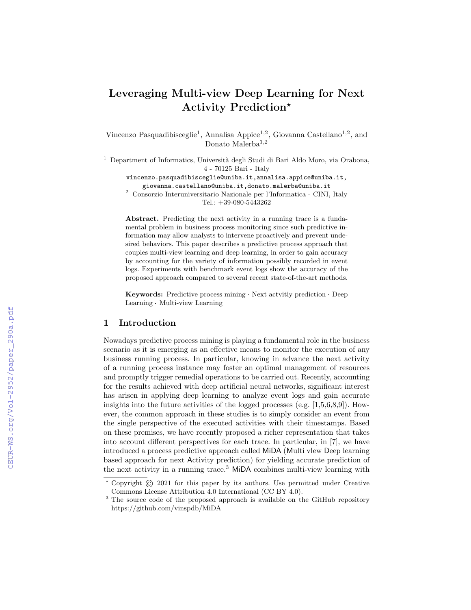# Leveraging Multi-view Deep Learning for Next Activity Prediction\*

Vincenzo Pasquadibisceglie<sup>1</sup>, Annalisa Appice<sup>1,2</sup>, Giovanna Castellano<sup>1,2</sup>, and Donato Malerba<sup>1,2</sup>

 $<sup>1</sup>$  Department of Informatics, Università degli Studi di Bari Aldo Moro, via Orabona,</sup> 4 - 70125 Bari - Italy

vincenzo.pasquadibisceglie@uniba.it,annalisa.appice@uniba.it, giovanna.castellano@uniba.it,donato.malerba@uniba.it

<sup>2</sup> Consorzio Interuniversitario Nazionale per l'Informatica - CINI, Italy Tel.: +39-080-5443262

Abstract. Predicting the next activity in a running trace is a fundamental problem in business process monitoring since such predictive information may allow analysts to intervene proactively and prevent undesired behaviors. This paper describes a predictive process approach that couples multi-view learning and deep learning, in order to gain accuracy by accounting for the variety of information possibly recorded in event logs. Experiments with benchmark event logs show the accuracy of the proposed approach compared to several recent state-of-the-art methods.

Keywords: Predictive process mining · Next actvitiy prediction · Deep Learning Multi-view Learning

#### 1 Introduction

Nowadays predictive process mining is playing a fundamental role in the business scenario as it is emerging as an effective means to monitor the execution of any business running process. In particular, knowing in advance the next activity of a running process instance may foster an optimal management of resources and promptly trigger remedial operations to be carried out. Recently, accounting for the results achieved with deep artificial neural networks, significant interest has arisen in applying deep learning to analyze event logs and gain accurate insights into the future activities of the logged processes (e.g.  $[1,5,6,8,9]$ ). However, the common approach in these studies is to simply consider an event from the single perspective of the executed activities with their timestamps. Based on these premises, we have recently proposed a richer representation that takes into account different perspectives for each trace. In particular, in [7], we have introduced a process predictive approach called MiDA (Multi vIew Deep learning based approach for next Activity prediction) for yielding accurate prediction of the next activity in a running trace.<sup>3</sup> MiDA combines multi-view learning with

 $\overline{\longleftarrow}$  Copyright  $\overline{C}$  2021 for this paper by its authors. Use permitted under Creative Commons License Attribution 4.0 International (CC BY 4.0).

<sup>&</sup>lt;sup>3</sup> The source code of the proposed approach is available on the GitHub repository https://github.com/vinspdb/MiDA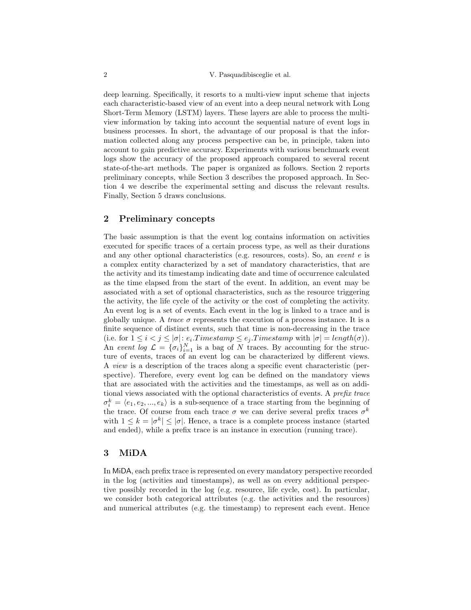#### 2 V. Pasquadibisceglie et al.

deep learning. Specifically, it resorts to a multi-view input scheme that injects each characteristic-based view of an event into a deep neural network with Long Short-Term Memory (LSTM) layers. These layers are able to process the multiview information by taking into account the sequential nature of event logs in business processes. In short, the advantage of our proposal is that the information collected along any process perspective can be, in principle, taken into account to gain predictive accuracy. Experiments with various benchmark event logs show the accuracy of the proposed approach compared to several recent state-of-the-art methods. The paper is organized as follows. Section 2 reports preliminary concepts, while Section 3 describes the proposed approach. In Section 4 we describe the experimental setting and discuss the relevant results. Finally, Section 5 draws conclusions.

#### 2 Preliminary concepts

The basic assumption is that the event log contains information on activities executed for specific traces of a certain process type, as well as their durations and any other optional characteristics (e.g. resources, costs). So, an event  $e$  is a complex entity characterized by a set of mandatory characteristics, that are the activity and its timestamp indicating date and time of occurrence calculated as the time elapsed from the start of the event. In addition, an event may be associated with a set of optional characteristics, such as the resource triggering the activity, the life cycle of the activity or the cost of completing the activity. An event log is a set of events. Each event in the log is linked to a trace and is globally unique. A *trace*  $\sigma$  represents the execution of a process instance. It is a finite sequence of distinct events, such that time is non-decreasing in the trace (i.e. for  $1 \leq i < j \leq |\sigma|$ :  $e_i$ . Timestamp  $\leq e_j$ . Timestamp with  $|\sigma| = length(\sigma)$ ). An event log  $\mathcal{L} = {\{\sigma_i\}}_{i=1}^N$  is a bag of N traces. By accounting for the structure of events, traces of an event log can be characterized by different views. A view is a description of the traces along a specific event characteristic (perspective). Therefore, every event log can be defined on the mandatory views that are associated with the activities and the timestamps, as well as on additional views associated with the optional characteristics of events. A prefix trace  $\sigma_i^k = \langle e_1, e_2, ..., e_k \rangle$  is a sub-sequence of a trace starting from the beginning of the trace. Of course from each trace  $\sigma$  we can derive several prefix traces  $\sigma^k$ with  $1 \leq k = |\sigma^k| \leq |\sigma|$ . Hence, a trace is a complete process instance (started and ended), while a prefix trace is an instance in execution (running trace).

### 3 MiDA

In MiDA, each prefix trace is represented on every mandatory perspective recorded in the log (activities and timestamps), as well as on every additional perspective possibly recorded in the log (e.g. resource, life cycle, cost). In particular, we consider both categorical attributes (e.g. the activities and the resources) and numerical attributes (e.g. the timestamp) to represent each event. Hence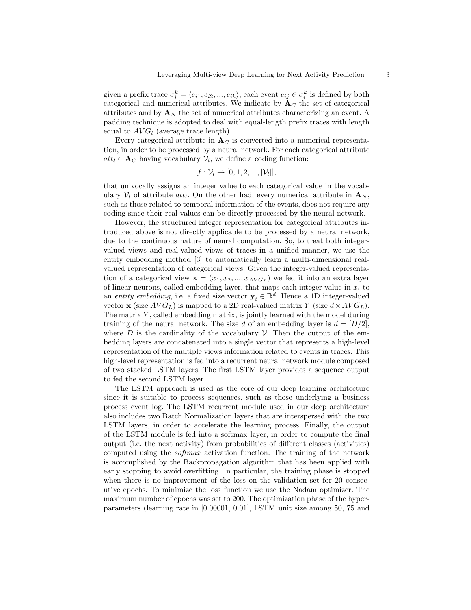given a prefix trace  $\sigma_i^k = \langle e_{i1}, e_{i2}, ..., e_{ik} \rangle$ , each event  $e_{ij} \in \sigma_i^k$  is defined by both categorical and numerical attributes. We indicate by  $A_C$  the set of categorical attributes and by  $\mathbf{A}_N$  the set of numerical attributes characterizing an event. A padding technique is adopted to deal with equal-length prefix traces with length equal to  $AVG_l$  (average trace length).

Every categorical attribute in  $A_C$  is converted into a numerical representation, in order to be processed by a neural network. For each categorical attribute  $att_l \in \mathbf{A}_C$  having vocabulary  $\mathcal{V}_l$ , we define a coding function:

$$
f: \mathcal{V}_l \to [0, 1, 2, ..., |\mathcal{V}_l|],
$$

that univocally assigns an integer value to each categorical value in the vocabulary  $V_l$  of attribute  $att_l$ . On the other had, every numerical attribute in  $\mathbf{A}_N$ , such as those related to temporal information of the events, does not require any coding since their real values can be directly processed by the neural network.

However, the structured integer representation for categorical attributes introduced above is not directly applicable to be processed by a neural network, due to the continuous nature of neural computation. So, to treat both integervalued views and real-valued views of traces in a unified manner, we use the entity embedding method [3] to automatically learn a multi-dimensional realvalued representation of categorical views. Given the integer-valued representation of a categorical view  $\mathbf{x} = (x_1, x_2, ..., x_{AVG_L})$  we fed it into an extra layer of linear neurons, called embedding layer, that maps each integer value in  $x_i$  to an entity embedding, i.e. a fixed size vector  $y_i \in \mathbb{R}^d$ . Hence a 1D integer-valued vector **x** (size  $AVG_L$ ) is mapped to a 2D real-valued matrix Y (size  $d \times AVG_L$ ). The matrix Y, called embedding matrix, is jointly learned with the model during training of the neural network. The size d of an embedding layer is  $d = [D/2]$ , where D is the cardinality of the vocabulary V. Then the output of the embedding layers are concatenated into a single vector that represents a high-level representation of the multiple views information related to events in traces. This high-level representation is fed into a recurrent neural network module composed of two stacked LSTM layers. The first LSTM layer provides a sequence output to fed the second LSTM layer.

The LSTM approach is used as the core of our deep learning architecture since it is suitable to process sequences, such as those underlying a business process event log. The LSTM recurrent module used in our deep architecture also includes two Batch Normalization layers that are interspersed with the two LSTM layers, in order to accelerate the learning process. Finally, the output of the LSTM module is fed into a softmax layer, in order to compute the final output (i.e. the next activity) from probabilities of different classes (activities) computed using the softmax activation function. The training of the network is accomplished by the Backpropagation algorithm that has been applied with early stopping to avoid overfitting. In particular, the training phase is stopped when there is no improvement of the loss on the validation set for 20 consecutive epochs. To minimize the loss function we use the Nadam optimizer. The maximum number of epochs was set to 200. The optimization phase of the hyperparameters (learning rate in [0.00001, 0.01], LSTM unit size among 50, 75 and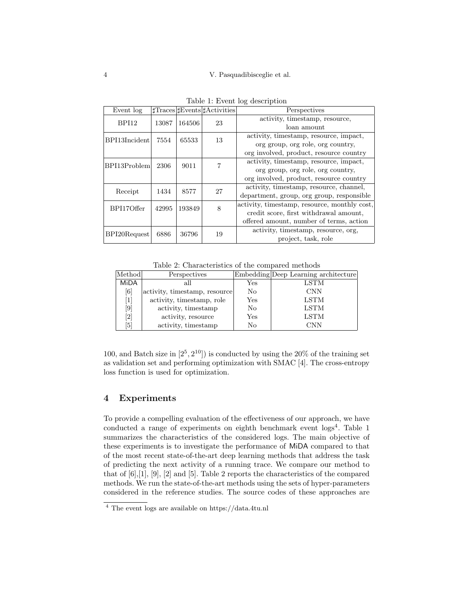|       |                                               |    | Perspectives                                 |  |  |  |
|-------|-----------------------------------------------|----|----------------------------------------------|--|--|--|
| 13087 | 164506                                        | 23 | activity, timestamp, resource,               |  |  |  |
|       |                                               |    | loan amount                                  |  |  |  |
| 7554  | 65533                                         | 13 | activity, timestamp, resource, impact,       |  |  |  |
|       |                                               |    | org group, org role, org country,            |  |  |  |
|       |                                               |    | org involved, product, resource country      |  |  |  |
| 2306  | 9011                                          |    | activity, timestamp, resource, impact,       |  |  |  |
|       |                                               |    | org group, org role, org country,            |  |  |  |
|       |                                               |    | org involved, product, resource country      |  |  |  |
| 1434  | 8577                                          | 27 | activity, timestamp, resource, channel,      |  |  |  |
|       |                                               |    | department, group, org group, responsible    |  |  |  |
| 42995 | 193849                                        | 8  | activity, timestamp, resource, monthly cost, |  |  |  |
|       |                                               |    | credit score, first withdrawal amount,       |  |  |  |
|       |                                               |    | offered amount, number of terms, action      |  |  |  |
| 6886  | 36796                                         | 19 | activity, timestamp, resource, org,          |  |  |  |
|       |                                               |    | project, task, role                          |  |  |  |
|       | BPI13Incident<br>BPI13Problem<br>BPI20Request |    | $\text{Traces}$ Events $\text{H Activities}$ |  |  |  |

|  |  |  | Table 1: Event log description |
|--|--|--|--------------------------------|
|--|--|--|--------------------------------|

Table 2: Characteristics of the compared methods

| Method             | Perspectives                  |              | Embedding Deep Learning architecture |  |  |  |  |
|--------------------|-------------------------------|--------------|--------------------------------------|--|--|--|--|
| <b>MiDA</b>        | all                           | $_{\rm Yes}$ | LSTM                                 |  |  |  |  |
| [6]                | activity, timestamp, resource | No           | <b>CNN</b>                           |  |  |  |  |
| $\lceil 1 \rceil$  | activity, timestamp, role     | Yes          | LSTM                                 |  |  |  |  |
| $\left[ 9 \right]$ | activity, timestamp           | No           | <b>LSTM</b>                          |  |  |  |  |
| [2]                | activity, resource            | Yes          | LSTM                                 |  |  |  |  |
| $\vert 5 \vert$    | activity, timestamp           | No           | <b>CNN</b>                           |  |  |  |  |

100, and Batch size in  $[2^5, 2^{10}]$  is conducted by using the 20% of the training set as validation set and performing optimization with SMAC [4]. The cross-entropy loss function is used for optimization.

# 4 Experiments

To provide a compelling evaluation of the effectiveness of our approach, we have conducted a range of experiments on eighth benchmark event logs<sup>4</sup>. Table 1 summarizes the characteristics of the considered logs. The main objective of these experiments is to investigate the performance of MiDA compared to that of the most recent state-of-the-art deep learning methods that address the task of predicting the next activity of a running trace. We compare our method to that of [6],[1], [9], [2] and [5]. Table 2 reports the characteristics of the compared methods. We run the state-of-the-art methods using the sets of hyper-parameters considered in the reference studies. The source codes of these approaches are

<sup>4</sup> The event logs are available on https://data.4tu.nl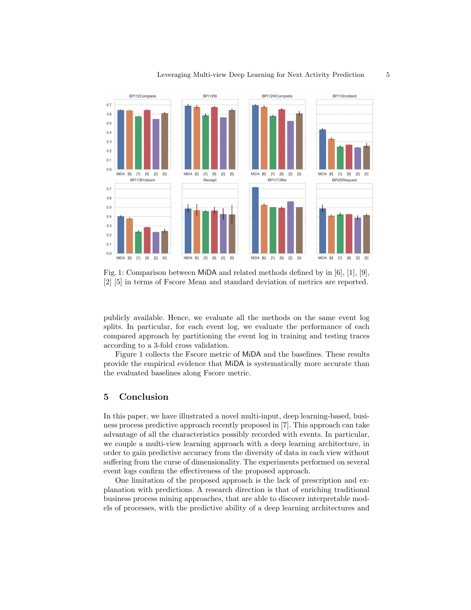

Fig. 1: Comparison between MiDA and related methods defined by in [6], [1], [9], [2] [5] in terms of Fscore Mean and standard deviation of metrics are reported.

publicly available. Hence, we evaluate all the methods on the same event log splits. In particular, for each event log, we evaluate the performance of each compared approach by partitioning the event log in training and testing traces according to a 3-fold cross validation.

Figure 1 collects the Fscore metric of MiDA and the baselines. These results provide the empirical evidence that MiDA is systematically more accurate than the evaluated baselines along Fscore metric.

### 5 Conclusion

In this paper, we have illustrated a novel multi-input, deep learning-based, business process predictive approach recently proposed in [7]. This approach can take advantage of all the characteristics possibly recorded with events. In particular, we couple a multi-view learning approach with a deep learning architecture, in order to gain predictive accuracy from the diversity of data in each view without suffering from the curse of dimensionality. The experiments performed on several event logs confirm the effectiveness of the proposed approach.

One limitation of the proposed approach is the lack of prescription and explanation with predictions. A research direction is that of enriching traditional business process mining approaches, that are able to discover interpretable models of processes, with the predictive ability of a deep learning architectures and

Leveraging Multi-view Deep Learning for Next Activity Prediction 5